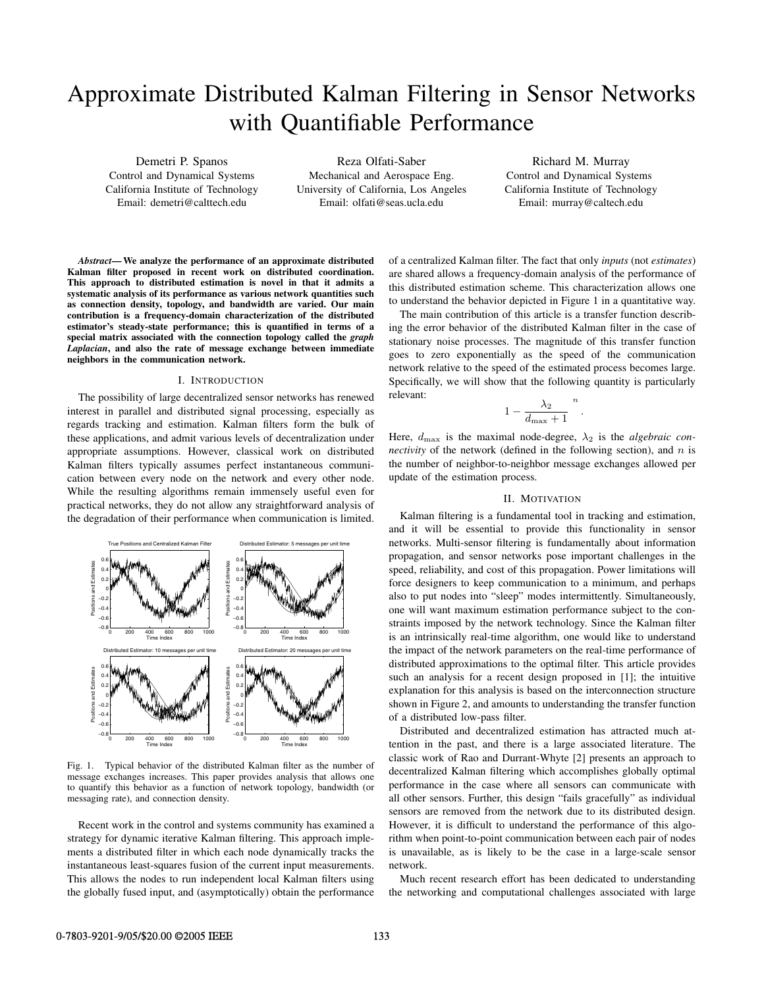# Approximate Distributed Kalman Filtering in Sensor Networks with Quantifiable Performance

Demetri P. Spanos Control and Dynamical Systems California Institute of Technology Email: demetri@calttech.edu

Reza Olfati-Saber Mechanical and Aerospace Eng. University of California, Los Angeles Email: olfati@seas.ucla.edu

Richard M. Murray Control and Dynamical Systems California Institute of Technology Email: murray@caltech.edu

*Abstract***— We analyze the performance of an approximate distributed Kalman filter proposed in recent work on distributed coordination. This approach to distributed estimation is novel in that it admits a systematic analysis of its performance as various network quantities such as connection density, topology, and bandwidth are varied. Our main contribution is a frequency-domain characterization of the distributed estimator's steady-state performance; this is quantified in terms of a special matrix associated with the connection topology called the** *graph Laplacian***, and also the rate of message exchange between immediate neighbors in the communication network.**

## I. INTRODUCTION

The possibility of large decentralized sensor networks has renewed interest in parallel and distributed signal processing, especially as regards tracking and estimation. Kalman filters form the bulk of these applications, and admit various levels of decentralization under appropriate assumptions. However, classical work on distributed Kalman filters typically assumes perfect instantaneous communication between every node on the network and every other node. While the resulting algorithms remain immensely useful even for practical networks, they do not allow any straightforward analysis of the degradation of their performance when communication is limited.



Fig. 1. Typical behavior of the distributed Kalman filter as the number of message exchanges increases. This paper provides analysis that allows one to quantify this behavior as a function of network topology, bandwidth (or messaging rate), and connection density.

Recent work in the control and systems community has examined a strategy for dynamic iterative Kalman filtering. This approach implements a distributed filter in which each node dynamically tracks the instantaneous least-squares fusion of the current input measurements. This allows the nodes to run independent local Kalman filters using the globally fused input, and (asymptotically) obtain the performance of a centralized Kalman filter. The fact that only *inputs* (not *estimates*) are shared allows a frequency-domain analysis of the performance of this distributed estimation scheme. This characterization allows one to understand the behavior depicted in Figure 1 in a quantitative way.

The main contribution of this article is a transfer function describing the error behavior of the distributed Kalman filter in the case of stationary noise processes. The magnitude of this transfer function goes to zero exponentially as the speed of the communication network relative to the speed of the estimated process becomes large. Specifically, we will show that the following quantity is particularly relevant: *n*

$$
1 - \frac{\lambda_2}{d_{\text{max}} + 1}^{n}
$$

.

Here,  $d_{\text{max}}$  is the maximal node-degree,  $\lambda_2$  is the *algebraic connectivity* of the network (defined in the following section), and  $n$  is the number of neighbor-to-neighbor message exchanges allowed per update of the estimation process.

## II. MOTIVATION

Kalman filtering is a fundamental tool in tracking and estimation, and it will be essential to provide this functionality in sensor networks. Multi-sensor filtering is fundamentally about information propagation, and sensor networks pose important challenges in the speed, reliability, and cost of this propagation. Power limitations will force designers to keep communication to a minimum, and perhaps also to put nodes into "sleep" modes intermittently. Simultaneously, one will want maximum estimation performance subject to the constraints imposed by the network technology. Since the Kalman filter is an intrinsically real-time algorithm, one would like to understand the impact of the network parameters on the real-time performance of distributed approximations to the optimal filter. This article provides such an analysis for a recent design proposed in [1]; the intuitive explanation for this analysis is based on the interconnection structure shown in Figure 2, and amounts to understanding the transfer function of a distributed low-pass filter.

Distributed and decentralized estimation has attracted much attention in the past, and there is a large associated literature. The classic work of Rao and Durrant-Whyte [2] presents an approach to decentralized Kalman filtering which accomplishes globally optimal performance in the case where all sensors can communicate with all other sensors. Further, this design "fails gracefully" as individual sensors are removed from the network due to its distributed design. However, it is difficult to understand the performance of this algorithm when point-to-point communication between each pair of nodes is unavailable, as is likely to be the case in a large-scale sensor network.

Much recent research effort has been dedicated to understanding the networking and computational challenges associated with large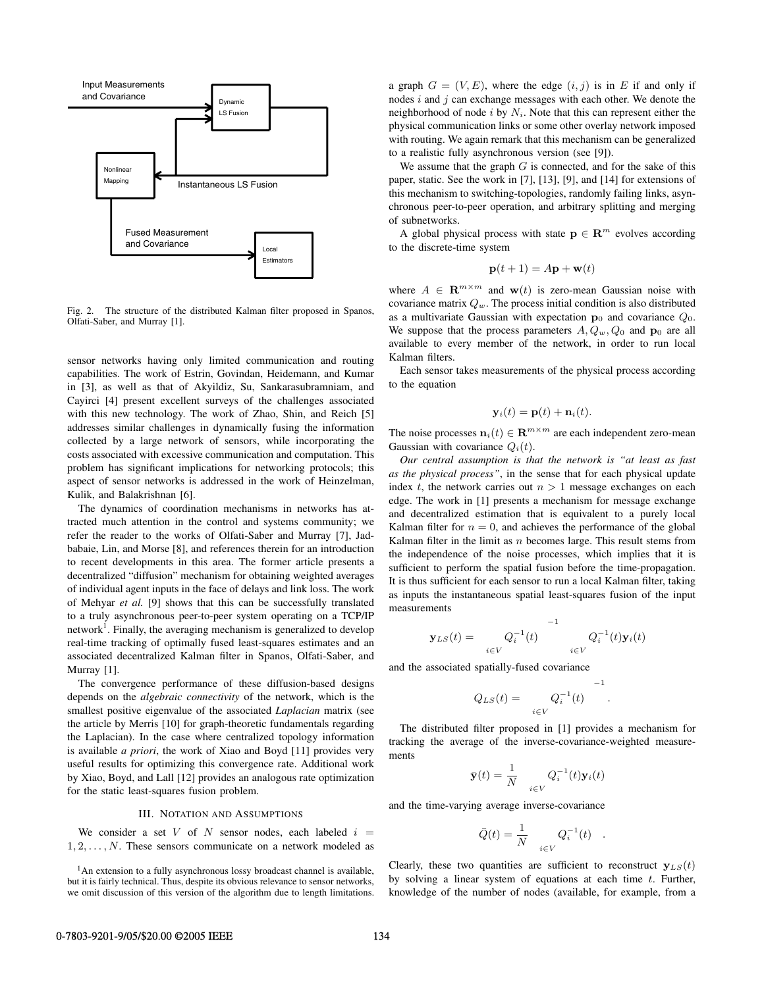

Fig. 2. The structure of the distributed Kalman filter proposed in Spanos, Olfati-Saber, and Murray [1].

sensor networks having only limited communication and routing capabilities. The work of Estrin, Govindan, Heidemann, and Kumar in [3], as well as that of Akyildiz, Su, Sankarasubramniam, and Cayirci [4] present excellent surveys of the challenges associated with this new technology. The work of Zhao, Shin, and Reich [5] addresses similar challenges in dynamically fusing the information collected by a large network of sensors, while incorporating the costs associated with excessive communication and computation. This problem has significant implications for networking protocols; this aspect of sensor networks is addressed in the work of Heinzelman, Kulik, and Balakrishnan [6].

The dynamics of coordination mechanisms in networks has attracted much attention in the control and systems community; we refer the reader to the works of Olfati-Saber and Murray [7], Jadbabaie, Lin, and Morse [8], and references therein for an introduction to recent developments in this area. The former article presents a decentralized "diffusion" mechanism for obtaining weighted averages of individual agent inputs in the face of delays and link loss. The work of Mehyar *et al.* [9] shows that this can be successfully translated to a truly asynchronous peer-to-peer system operating on a TCP/IP network<sup>1</sup>. Finally, the averaging mechanism is generalized to develop real-time tracking of optimally fused least-squares estimates and an associated decentralized Kalman filter in Spanos, Olfati-Saber, and Murray [1].

The convergence performance of these diffusion-based designs depends on the *algebraic connectivity* of the network, which is the smallest positive eigenvalue of the associated *Laplacian* matrix (see the article by Merris [10] for graph-theoretic fundamentals regarding the Laplacian). In the case where centralized topology information is available *a priori*, the work of Xiao and Boyd [11] provides very useful results for optimizing this convergence rate. Additional work by Xiao, Boyd, and Lall [12] provides an analogous rate optimization for the static least-squares fusion problem.

## III. NOTATION AND ASSUMPTIONS

We consider a set V of N sensor nodes, each labeled  $i =$  $1, 2, \ldots, N$ . These sensors communicate on a network modeled as

<sup>1</sup>An extension to a fully asynchronous lossy broadcast channel is available, but it is fairly technical. Thus, despite its obvious relevance to sensor networks, we omit discussion of this version of the algorithm due to length limitations.

a graph  $G = (V, E)$ , where the edge  $(i, j)$  is in E if and only if nodes  $i$  and  $j$  can exchange messages with each other. We denote the neighborhood of node  $i$  by  $N_i$ . Note that this can represent either the physical communication links or some other overlay network imposed with routing. We again remark that this mechanism can be generalized to a realistic fully asynchronous version (see [9]).

We assume that the graph  $G$  is connected, and for the sake of this paper, static. See the work in [7], [13], [9], and [14] for extensions of this mechanism to switching-topologies, randomly failing links, asynchronous peer-to-peer operation, and arbitrary splitting and merging of subnetworks.

A global physical process with state  $p \in \mathbb{R}^m$  evolves according to the discrete-time system

$$
\mathbf{p}(t+1) = A\mathbf{p} + \mathbf{w}(t)
$$

where  $A \in \mathbb{R}^{m \times m}$  and  $\mathbf{w}(t)$  is zero-mean Gaussian noise with covariance matrix Q*w*. The process initial condition is also distributed as a multivariate Gaussian with expectation  $\mathbf{p}_0$  and covariance  $Q_0$ . We suppose that the process parameters  $A, Q_w, Q_0$  and  $p_0$  are all available to every member of the network, in order to run local Kalman filters.

Each sensor takes measurements of the physical process according to the equation

$$
\mathbf{y}_i(t) = \mathbf{p}(t) + \mathbf{n}_i(t).
$$

The noise processes  $\mathbf{n}_i(t) \in \mathbb{R}^{m \times m}$  are each independent zero-mean Gaussian with covariance  $Q_i(t)$ .

*Our central assumption is that the network is "at least as fast as the physical process"*, in the sense that for each physical update index t, the network carries out  $n > 1$  message exchanges on each edge. The work in [1] presents a mechanism for message exchange and decentralized estimation that is equivalent to a purely local Kalman filter for  $n = 0$ , and achieves the performance of the global Kalman filter in the limit as  $n$  becomes large. This result stems from the independence of the noise processes, which implies that it is sufficient to perform the spatial fusion before the time-propagation. It is thus sufficient for each sensor to run a local Kalman filter, taking as inputs the instantaneous spatial least-squares fusion of the input measurements

$$
\mathbf{y}_{LS}(t) = \begin{pmatrix} Q_i^{-1}(t) & -1 \\ i \in V & i \in V \end{pmatrix} Q_i^{-1}(t) \mathbf{y}_i(t)
$$

and the associated spatially-fused covariance

$$
Q_{LS}(t) = \bigg|_{i \in V} Q_i^{-1}(t) \bigg|^{-1}
$$

.

The distributed filter proposed in [1] provides a mechanism for tracking the average of the inverse-covariance-weighted measurements

$$
\bar{\mathbf{y}}(t) = \frac{1}{N} \quad Q_i^{-1}(t) \mathbf{y}_i(t)
$$

and the time-varying average inverse-covariance

$$
\bar{Q}(t) = \frac{1}{N} \quad Q_i^{-1}(t) \quad .
$$

Clearly, these two quantities are sufficient to reconstruct  $y_{LS}(t)$ by solving a linear system of equations at each time  $t$ . Further, knowledge of the number of nodes (available, for example, from a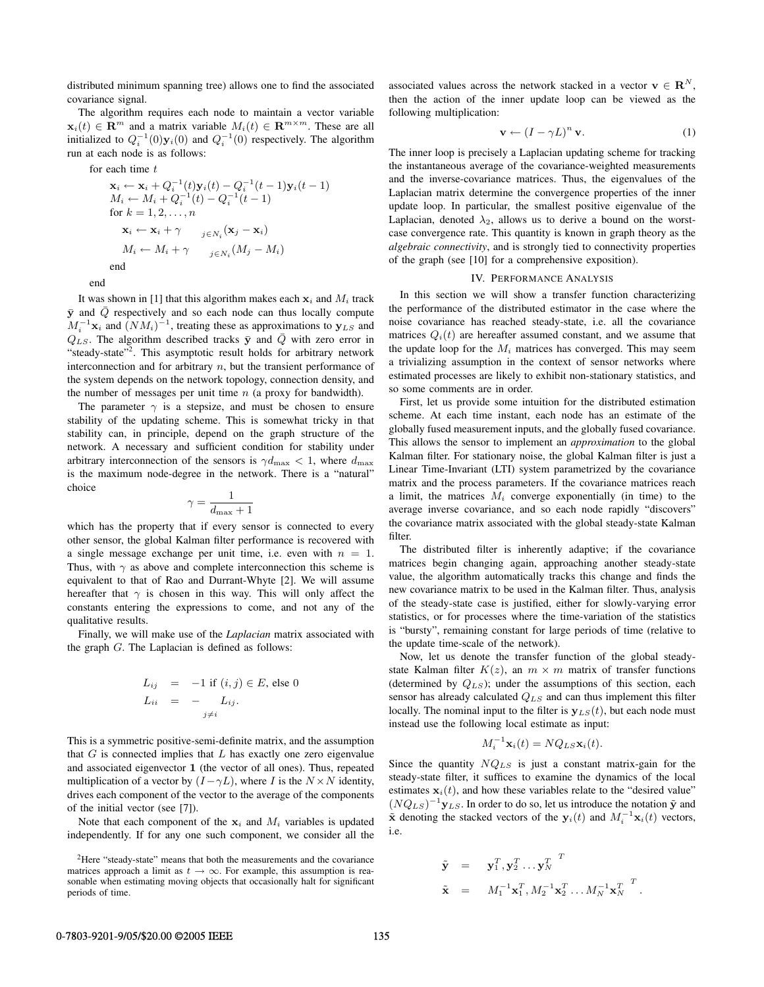distributed minimum spanning tree) allows one to find the associated covariance signal.

The algorithm requires each node to maintain a vector variable **x**<sub>*i*</sub>(t) ∈ **R**<sup>*m*</sup> and a matrix variable  $M_i(t)$  ∈ **R**<sup>*m*×*m*</sup>. These are all initialized to  $Q_i^{-1}(0)\mathbf{y}_i(0)$  and  $Q_i^{-1}(0)$  respectively. The algorithm run at each node is as follows:

for each time t

$$
\mathbf{x}_{i} \leftarrow \mathbf{x}_{i} + Q_{i}^{-1}(t)\mathbf{y}_{i}(t) - Q_{i}^{-1}(t-1)\mathbf{y}_{i}(t-1)
$$
\n
$$
M_{i} \leftarrow M_{i} + Q_{i}^{-1}(t) - Q_{i}^{-1}(t-1)
$$
\nfor  $k = 1, 2, ..., n$ \n
$$
\mathbf{x}_{i} \leftarrow \mathbf{x}_{i} + \gamma \quad \sum_{j \in N_{i}} (\mathbf{x}_{j} - \mathbf{x}_{i})
$$
\n
$$
M_{i} \leftarrow M_{i} + \gamma \quad \sum_{j \in N_{i}} (M_{j} - M_{i})
$$
\nend

end

It was shown in [1] that this algorithm makes each  $x_i$  and  $M_i$  track  $\bar{y}$  and  $\bar{Q}$  respectively and so each node can thus locally compute  $M_i^{-1}$ **x**<sub>i</sub> and  $(NM_i)^{-1}$ , treating these as approximations to **y**<sub>*LS*</sub> and  $Q_{LS}$ . The algorithm described tracks  $\bar{y}$  and  $\bar{Q}$  with zero error in "steady-state"<sup>2</sup>. This asymptotic result holds for arbitrary network interconnection and for arbitrary  $n$ , but the transient performance of the system depends on the network topology, connection density, and the number of messages per unit time  $n$  (a proxy for bandwidth).

The parameter  $\gamma$  is a stepsize, and must be chosen to ensure stability of the updating scheme. This is somewhat tricky in that stability can, in principle, depend on the graph structure of the network. A necessary and sufficient condition for stability under arbitrary interconnection of the sensors is  $\gamma d_{\text{max}} < 1$ , where  $d_{\text{max}}$ is the maximum node-degree in the network. There is a "natural" choice

$$
\gamma = \frac{1}{d_{\max}+1}
$$

which has the property that if every sensor is connected to every other sensor, the global Kalman filter performance is recovered with a single message exchange per unit time, i.e. even with  $n = 1$ . Thus, with  $\gamma$  as above and complete interconnection this scheme is equivalent to that of Rao and Durrant-Whyte [2]. We will assume hereafter that  $\gamma$  is chosen in this way. This will only affect the constants entering the expressions to come, and not any of the qualitative results.

Finally, we will make use of the *Laplacian* matrix associated with the graph  $G$ . The Laplacian is defined as follows:

$$
L_{ij} = -1 \text{ if } (i, j) \in E \text{, else } 0
$$
  

$$
L_{ii} = - L_{ij}.
$$
  

$$
j \neq i
$$

This is a symmetric positive-semi-definite matrix, and the assumption that  $G$  is connected implies that  $L$  has exactly one zero eigenvalue and associated eigenvector **1** (the vector of all ones). Thus, repeated multiplication of a vector by  $(I - \gamma L)$ , where I is the  $N \times N$  identity, drives each component of the vector to the average of the components of the initial vector (see [7]).

Note that each component of the  $x_i$  and  $M_i$  variables is updated independently. If for any one such component, we consider all the associated values across the network stacked in a vector  $\mathbf{v} \in \mathbb{R}^{N}$ , then the action of the inner update loop can be viewed as the following multiplication:

$$
\mathbf{v} \leftarrow (I - \gamma L)^n \mathbf{v}.\tag{1}
$$

The inner loop is precisely a Laplacian updating scheme for tracking the instantaneous average of the covariance-weighted measurements and the inverse-covariance matrices. Thus, the eigenvalues of the Laplacian matrix determine the convergence properties of the inner update loop. In particular, the smallest positive eigenvalue of the Laplacian, denoted  $\lambda_2$ , allows us to derive a bound on the worstcase convergence rate. This quantity is known in graph theory as the *algebraic connectivity*, and is strongly tied to connectivity properties of the graph (see [10] for a comprehensive exposition).

## IV. PERFORMANCE ANALYSIS

In this section we will show a transfer function characterizing the performance of the distributed estimator in the case where the noise covariance has reached steady-state, i.e. all the covariance matrices  $Q_i(t)$  are hereafter assumed constant, and we assume that the update loop for the  $M_i$  matrices has converged. This may seem a trivializing assumption in the context of sensor networks where estimated processes are likely to exhibit non-stationary statistics, and so some comments are in order.

First, let us provide some intuition for the distributed estimation scheme. At each time instant, each node has an estimate of the globally fused measurement inputs, and the globally fused covariance. This allows the sensor to implement an *approximation* to the global Kalman filter. For stationary noise, the global Kalman filter is just a Linear Time-Invariant (LTI) system parametrized by the covariance matrix and the process parameters. If the covariance matrices reach a limit, the matrices  $M_i$  converge exponentially (in time) to the average inverse covariance, and so each node rapidly "discovers" the covariance matrix associated with the global steady-state Kalman filter.

The distributed filter is inherently adaptive; if the covariance matrices begin changing again, approaching another steady-state value, the algorithm automatically tracks this change and finds the new covariance matrix to be used in the Kalman filter. Thus, analysis of the steady-state case is justified, either for slowly-varying error statistics, or for processes where the time-variation of the statistics is "bursty", remaining constant for large periods of time (relative to the update time-scale of the network).

Now, let us denote the transfer function of the global steadystate Kalman filter  $K(z)$ , an  $m \times m$  matrix of transfer functions (determined by Q*LS*); under the assumptions of this section, each sensor has already calculated Q*LS* and can thus implement this filter locally. The nominal input to the filter is  $y_{LS}(t)$ , but each node must instead use the following local estimate as input:

$$
M_i^{-1} \mathbf{x}_i(t) = N Q_{LS} \mathbf{x}_i(t).
$$

Since the quantity NQ*LS* is just a constant matrix-gain for the steady-state filter, it suffices to examine the dynamics of the local estimates  $\mathbf{x}_i(t)$ , and how these variables relate to the "desired value"  $(NQ_{LS})^{-1}$ **y**<sub>*LS*</sub>. In order to do so, let us introduce the notation  $\tilde{y}$  and  $\tilde{\mathbf{x}}$  denoting the stacked vectors of the  $\mathbf{y}_i(t)$  and  $M_i^{-1}\mathbf{x}_i(t)$  vectors, i.e.

$$
\begin{array}{rcl}\n\tilde{\mathbf{y}} & = & \mathbf{y}_1^T, \mathbf{y}_2^T \dots \mathbf{y}_N^T \quad \text{if} \\
\tilde{\mathbf{x}} & = & M_1^{-1} \mathbf{x}_1^T, M_2^{-1} \mathbf{x}_2^T \dots M_N^{-1} \mathbf{x}_N^T \quad \text{if} \\
\end{array}.
$$

<sup>&</sup>lt;sup>2</sup>Here "steady-state" means that both the measurements and the covariance matrices approach a limit as  $t \to \infty$ . For example, this assumption is reasonable when estimating moving objects that occasionally halt for significant periods of time.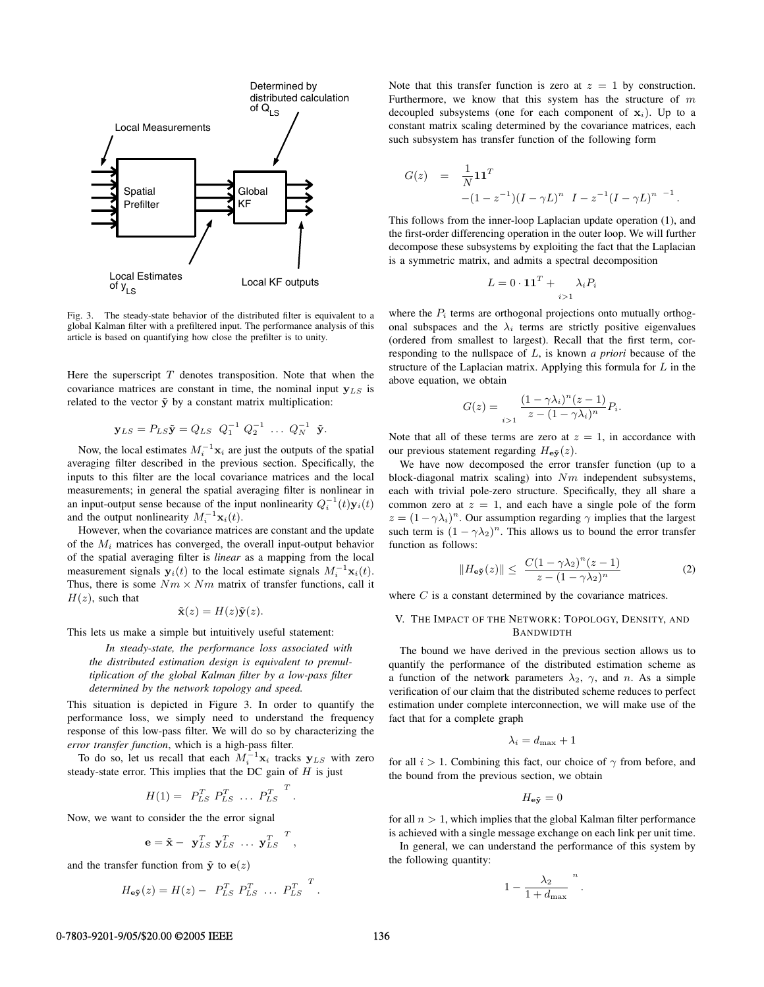

Fig. 3. The steady-state behavior of the distributed filter is equivalent to a global Kalman filter with a prefiltered input. The performance analysis of this article is based on quantifying how close the prefilter is to unity.

Here the superscript  $T$  denotes transposition. Note that when the covariance matrices are constant in time, the nominal input **y***LS* is related to the vector  $\tilde{y}$  by a constant matrix multiplication:

$$
\mathbf{y}_{LS} = P_{LS}\tilde{\mathbf{y}} = Q_{LS} \ \ Q_1^{-1} \ Q_2^{-1} \ \dots \ Q_N^{-1} \ \tilde{\mathbf{y}}.
$$

Now, the local estimates  $M_i^{-1}$ **x**<sub>*i*</sub> are just the outputs of the spatial averaging filter described in the previous section. Specifically, the inputs to this filter are the local covariance matrices and the local measurements; in general the spatial averaging filter is nonlinear in an input-output sense because of the input nonlinearity  $Q_i^{-1}(t)\mathbf{y}_i(t)$ and the output nonlinearity  $M_i^{-1}$ **x**<sub>*i*</sub>(*t*).

However, when the covariance matrices are constant and the update of the M*<sup>i</sup>* matrices has converged, the overall input-output behavior of the spatial averaging filter is *linear* as a mapping from the local measurement signals  $y_i(t)$  to the local estimate signals  $M_i^{-1}x_i(t)$ . Thus, there is some  $Nm \times Nm$  matrix of transfer functions, call it  $H(z)$ , such that

$$
\tilde{\mathbf{x}}(z) = H(z)\tilde{\mathbf{y}}(z).
$$

This lets us make a simple but intuitively useful statement:

*In steady-state, the performance loss associated with the distributed estimation design is equivalent to premultiplication of the global Kalman filter by a low-pass filter determined by the network topology and speed.*

This situation is depicted in Figure 3. In order to quantify the performance loss, we simply need to understand the frequency response of this low-pass filter. We will do so by characterizing the *error transfer function*, which is a high-pass filter.

To do so, let us recall that each  $M_i^{-1}$ **x**<sub>*i*</sub> tracks **y**<sub>*LS*</sub> with zero steady-state error. This implies that the DC gain of  $H$  is just

$$
H(1) = P_{LS}^T P_{LS}^T \dots P_{LS}^T
$$
.

Now, we want to consider the the error signal

$$
\mathbf{e} = \tilde{\mathbf{x}} - \mathbf{y}_{LS}^T \mathbf{y}_{LS}^T \dots \mathbf{y}_{LS}^T ,
$$

and the transfer function from  $\tilde{y}$  to  $e(z)$ 

$$
H_{\mathbf{e}\tilde{\mathbf{y}}}(z) = H(z) - P_{LS}^T P_{LS}^T \dots P_{LS}^T.
$$

Note that this transfer function is zero at  $z = 1$  by construction. Furthermore, we know that this system has the structure of  $m$ decoupled subsystems (one for each component of  $x_i$ ). Up to a constant matrix scaling determined by the covariance matrices, each such subsystem has transfer function of the following form

$$
G(z) = \frac{1}{N} \mathbf{1} \mathbf{1}^T
$$
  
-(1 - z<sup>-1</sup>)(I - \gamma L)<sup>n</sup> I - z<sup>-1</sup>(I - \gamma L)<sup>n</sup> <sup>-1</sup>.

This follows from the inner-loop Laplacian update operation (1), and the first-order differencing operation in the outer loop. We will further decompose these subsystems by exploiting the fact that the Laplacian is a symmetric matrix, and admits a spectral decomposition

$$
L = 0 \cdot \mathbf{11}^T + \lambda_i P_i
$$

where the  $P_i$  terms are orthogonal projections onto mutually orthogonal subspaces and the  $\lambda_i$  terms are strictly positive eigenvalues (ordered from smallest to largest). Recall that the first term, corresponding to the nullspace of L, is known *a priori* because of the structure of the Laplacian matrix. Applying this formula for  $L$  in the above equation, we obtain

$$
G(z) = \frac{(1 - \gamma \lambda_i)^n (z - 1)}{z - (1 - \gamma \lambda_i)^n} P_i.
$$

Note that all of these terms are zero at  $z = 1$ , in accordance with our previous statement regarding  $H_{\text{eV}}(z)$ .

We have now decomposed the error transfer function (up to a block-diagonal matrix scaling) into  $Nm$  independent subsystems, each with trivial pole-zero structure. Specifically, they all share a common zero at  $z = 1$ , and each have a single pole of the form  $z = (1 - \gamma \lambda_i)^n$ . Our assumption regarding  $\gamma$  implies that the largest such term is  $(1 - \gamma \lambda_2)^n$ . This allows us to bound the error transfer function as follows:

$$
||H_{\mathbf{e}\tilde{\mathbf{y}}}(z)|| \leq \frac{C(1-\gamma\lambda_2)^n(z-1)}{z-(1-\gamma\lambda_2)^n}
$$
 (2)

where C is a constant determined by the covariance matrices.

# V. THE IMPACT OF THE NETWORK: TOPOLOGY, DENSITY, AND BANDWIDTH

The bound we have derived in the previous section allows us to quantify the performance of the distributed estimation scheme as a function of the network parameters  $\lambda_2$ ,  $\gamma$ , and n. As a simple verification of our claim that the distributed scheme reduces to perfect estimation under complete interconnection, we will make use of the fact that for a complete graph

$$
\lambda_i = d_{\max} + 1
$$

for all  $i > 1$ . Combining this fact, our choice of  $\gamma$  from before, and the bound from the previous section, we obtain

$$
H_{\mathbf{e}\tilde{\mathbf{y}}} = 0
$$

for all  $n > 1$ , which implies that the global Kalman filter performance is achieved with a single message exchange on each link per unit time.

In general, we can understand the performance of this system by the following quantity:

$$
1-\frac{\lambda_2}{1+d_{\max}}^n
$$

.

#### 0-7803-9201-9/05/\$20.00 © 2005 IEEE 136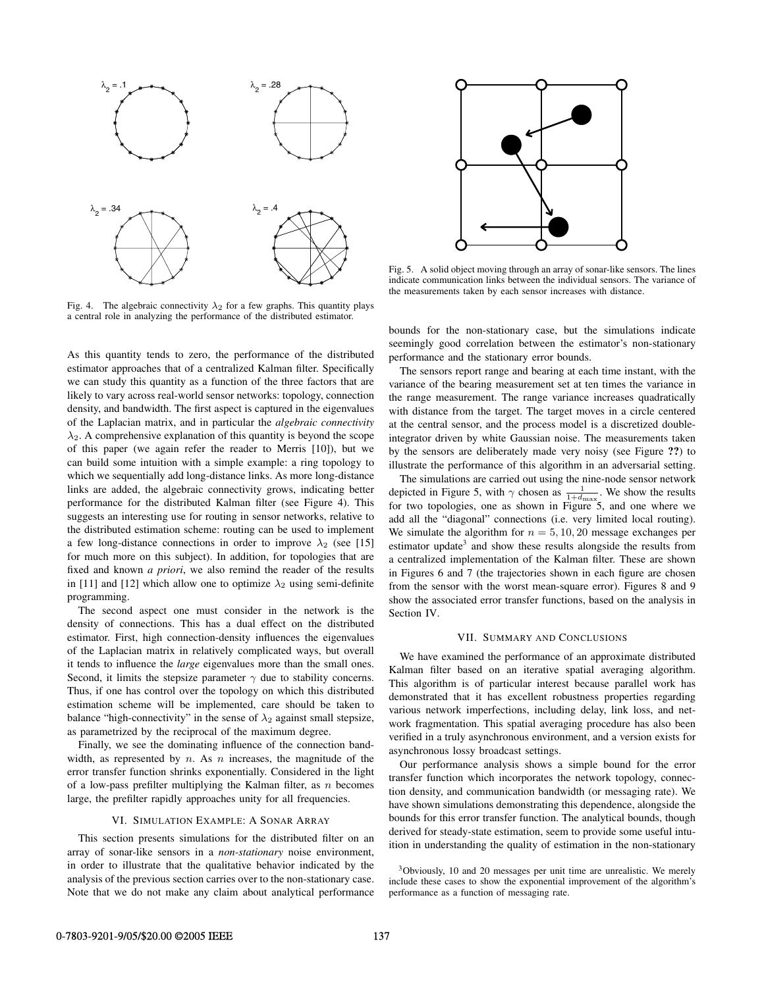

Fig. 4. The algebraic connectivity  $\lambda_2$  for a few graphs. This quantity plays a central role in analyzing the performance of the distributed estimator.

As this quantity tends to zero, the performance of the distributed estimator approaches that of a centralized Kalman filter. Specifically we can study this quantity as a function of the three factors that are likely to vary across real-world sensor networks: topology, connection density, and bandwidth. The first aspect is captured in the eigenvalues of the Laplacian matrix, and in particular the *algebraic connectivity*  $\lambda_2$ . A comprehensive explanation of this quantity is beyond the scope of this paper (we again refer the reader to Merris [10]), but we can build some intuition with a simple example: a ring topology to which we sequentially add long-distance links. As more long-distance links are added, the algebraic connectivity grows, indicating better performance for the distributed Kalman filter (see Figure 4). This suggests an interesting use for routing in sensor networks, relative to the distributed estimation scheme: routing can be used to implement a few long-distance connections in order to improve  $\lambda_2$  (see [15] for much more on this subject). In addition, for topologies that are fixed and known *a priori*, we also remind the reader of the results in [11] and [12] which allow one to optimize  $\lambda_2$  using semi-definite programming.

The second aspect one must consider in the network is the density of connections. This has a dual effect on the distributed estimator. First, high connection-density influences the eigenvalues of the Laplacian matrix in relatively complicated ways, but overall it tends to influence the *large* eigenvalues more than the small ones. Second, it limits the stepsize parameter  $\gamma$  due to stability concerns. Thus, if one has control over the topology on which this distributed estimation scheme will be implemented, care should be taken to balance "high-connectivity" in the sense of  $\lambda_2$  against small stepsize, as parametrized by the reciprocal of the maximum degree.

Finally, we see the dominating influence of the connection bandwidth, as represented by  $n$ . As  $n$  increases, the magnitude of the error transfer function shrinks exponentially. Considered in the light of a low-pass prefilter multiplying the Kalman filter, as  $n$  becomes large, the prefilter rapidly approaches unity for all frequencies.

## VI. SIMULATION EXAMPLE: A SONAR ARRAY

This section presents simulations for the distributed filter on an array of sonar-like sensors in a *non-stationary* noise environment, in order to illustrate that the qualitative behavior indicated by the analysis of the previous section carries over to the non-stationary case. Note that we do not make any claim about analytical performance



Fig. 5. A solid object moving through an array of sonar-like sensors. The lines indicate communication links between the individual sensors. The variance of the measurements taken by each sensor increases with distance.

bounds for the non-stationary case, but the simulations indicate seemingly good correlation between the estimator's non-stationary performance and the stationary error bounds.

The sensors report range and bearing at each time instant, with the variance of the bearing measurement set at ten times the variance in the range measurement. The range variance increases quadratically with distance from the target. The target moves in a circle centered at the central sensor, and the process model is a discretized doubleintegrator driven by white Gaussian noise. The measurements taken by the sensors are deliberately made very noisy (see Figure **??**) to illustrate the performance of this algorithm in an adversarial setting.

The simulations are carried out using the nine-node sensor network depicted in Figure 5, with  $\gamma$  chosen as  $\frac{1}{1+d_{\text{max}}}$ . We show the results for two topologies, one as shown in Figure 5, and one where we add all the "diagonal" connections (i.e. very limited local routing). We simulate the algorithm for  $n = 5, 10, 20$  message exchanges per estimator update<sup>3</sup> and show these results alongside the results from a centralized implementation of the Kalman filter. These are shown in Figures 6 and 7 (the trajectories shown in each figure are chosen from the sensor with the worst mean-square error). Figures 8 and 9 show the associated error transfer functions, based on the analysis in Section IV.

## VII. SUMMARY AND CONCLUSIONS

We have examined the performance of an approximate distributed Kalman filter based on an iterative spatial averaging algorithm. This algorithm is of particular interest because parallel work has demonstrated that it has excellent robustness properties regarding various network imperfections, including delay, link loss, and network fragmentation. This spatial averaging procedure has also been verified in a truly asynchronous environment, and a version exists for asynchronous lossy broadcast settings.

Our performance analysis shows a simple bound for the error transfer function which incorporates the network topology, connection density, and communication bandwidth (or messaging rate). We have shown simulations demonstrating this dependence, alongside the bounds for this error transfer function. The analytical bounds, though derived for steady-state estimation, seem to provide some useful intuition in understanding the quality of estimation in the non-stationary

<sup>3</sup>Obviously, 10 and 20 messages per unit time are unrealistic. We merely include these cases to show the exponential improvement of the algorithm's performance as a function of messaging rate.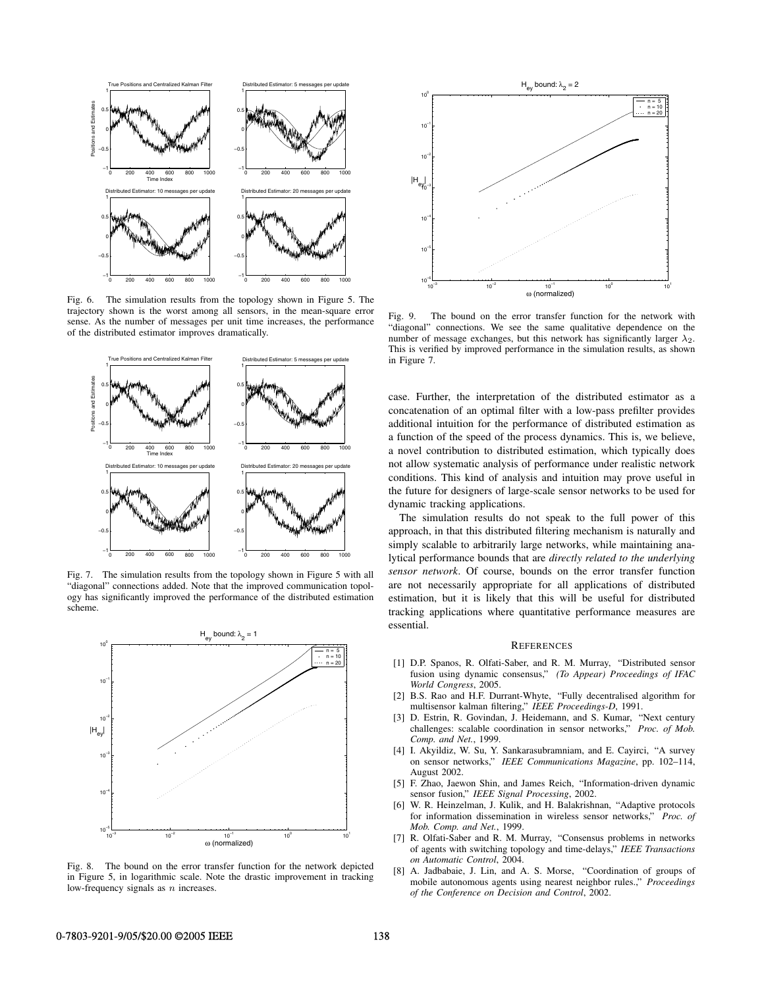

Fig. 6. The simulation results from the topology shown in Figure 5. The trajectory shown is the worst among all sensors, in the mean-square error sense. As the number of messages per unit time increases, the performance of the distributed estimator improves dramatically.



Fig. 7. The simulation results from the topology shown in Figure 5 with all "diagonal" connections added. Note that the improved communication topology has significantly improved the performance of the distributed estimation scheme.



Fig. 8. The bound on the error transfer function for the network depicted in Figure 5, in logarithmic scale. Note the drastic improvement in tracking low-frequency signals as  $n$  increases.



Fig. 9. The bound on the error transfer function for the network with "diagonal" connections. We see the same qualitative dependence on the number of message exchanges, but this network has significantly larger  $\lambda_2$ . This is verified by improved performance in the simulation results, as shown in Figure 7.

case. Further, the interpretation of the distributed estimator as a concatenation of an optimal filter with a low-pass prefilter provides additional intuition for the performance of distributed estimation as a function of the speed of the process dynamics. This is, we believe, a novel contribution to distributed estimation, which typically does not allow systematic analysis of performance under realistic network conditions. This kind of analysis and intuition may prove useful in the future for designers of large-scale sensor networks to be used for dynamic tracking applications.

The simulation results do not speak to the full power of this approach, in that this distributed filtering mechanism is naturally and simply scalable to arbitrarily large networks, while maintaining analytical performance bounds that are *directly related to the underlying sensor network*. Of course, bounds on the error transfer function are not necessarily appropriate for all applications of distributed estimation, but it is likely that this will be useful for distributed tracking applications where quantitative performance measures are essential.

#### **REFERENCES**

- [1] D.P. Spanos, R. Olfati-Saber, and R. M. Murray, "Distributed sensor fusion using dynamic consensus," *(To Appear) Proceedings of IFAC World Congress*, 2005.
- [2] B.S. Rao and H.F. Durrant-Whyte, "Fully decentralised algorithm for multisensor kalman filtering," *IEEE Proceedings-D*, 1991.
- [3] D. Estrin, R. Govindan, J. Heidemann, and S. Kumar, "Next century challenges: scalable coordination in sensor networks," *Proc. of Mob. Comp. and Net.*, 1999.
- [4] I. Akyildiz, W. Su, Y. Sankarasubramniam, and E. Cayirci, "A survey on sensor networks," *IEEE Communications Magazine*, pp. 102–114, August 2002.
- [5] F. Zhao, Jaewon Shin, and James Reich, "Information-driven dynamic sensor fusion," *IEEE Signal Processing*, 2002.
- [6] W. R. Heinzelman, J. Kulik, and H. Balakrishnan, "Adaptive protocols for information dissemination in wireless sensor networks," *Proc. of Mob. Comp. and Net.*, 1999.
- [7] R. Olfati-Saber and R. M. Murray, "Consensus problems in networks of agents with switching topology and time-delays," *IEEE Transactions on Automatic Control*, 2004.
- [8] A. Jadbabaie, J. Lin, and A. S. Morse, "Coordination of groups of mobile autonomous agents using nearest neighbor rules.," *Proceedings of the Conference on Decision and Control*, 2002.